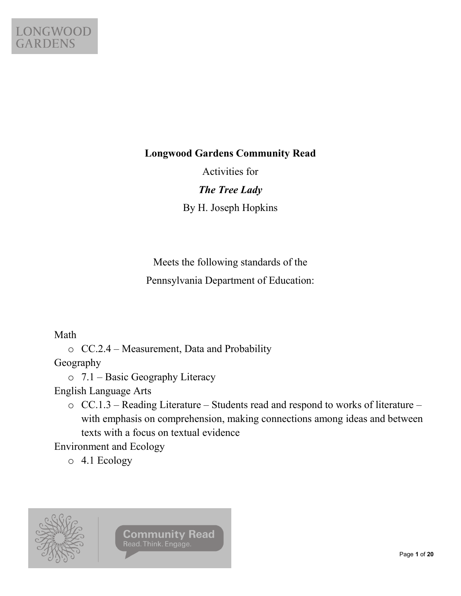

#### **Longwood Gardens Community Read**

Activities for

*The Tree Lady* By H. Joseph Hopkins

Meets the following standards of the Pennsylvania Department of Education:

Math

o CC.2.4 – Measurement, Data and Probability

Geography

o 7.1 – Basic Geography Literacy

English Language Arts

o CC.1.3 – Reading Literature – Students read and respond to works of literature – with emphasis on comprehension, making connections among ideas and between texts with a focus on textual evidence

Environment and Ecology

o 4.1 Ecology

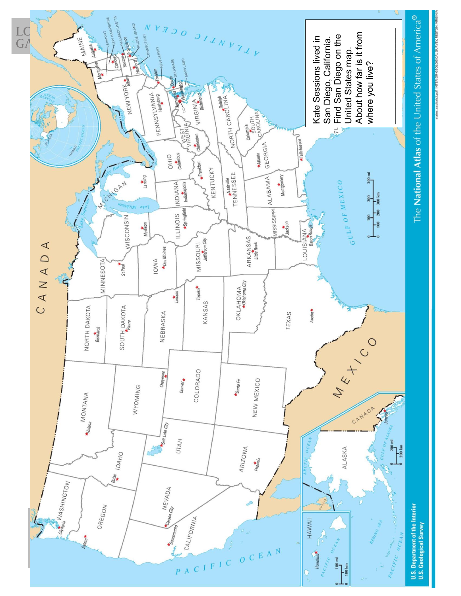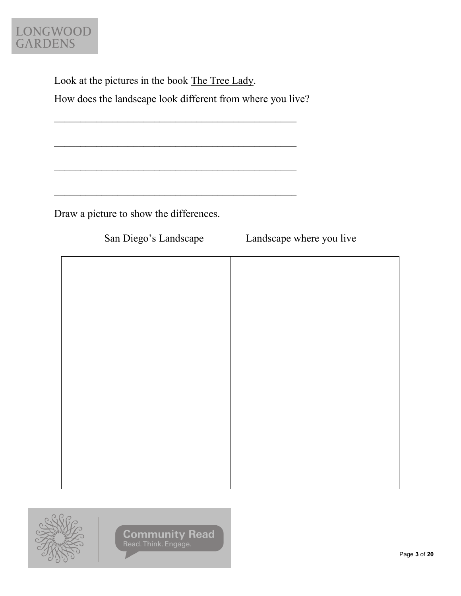

Look at the pictures in the book The Tree Lady. How does the landscape look different from where you live?

 $\mathcal{L}_\text{max}$  and the contract of the contract of the contract of the contract of the contract of the contract of the contract of the contract of the contract of the contract of the contract of the contract of the contrac

 $\mathcal{L}_\text{max}$  , and the contract of the contract of the contract of the contract of the contract of the contract of the contract of the contract of the contract of the contract of the contract of the contract of the contr

 $\mathcal{L}_\text{max}$  , and the contract of the contract of the contract of the contract of the contract of the contract of the contract of the contract of the contract of the contract of the contract of the contract of the contr

 $\mathcal{L}_\text{max}$  , and the set of the set of the set of the set of the set of the set of the set of the set of the set of the set of the set of the set of the set of the set of the set of the set of the set of the set of the

Draw a picture to show the differences.

San Diego's Landscape Landscape where you live



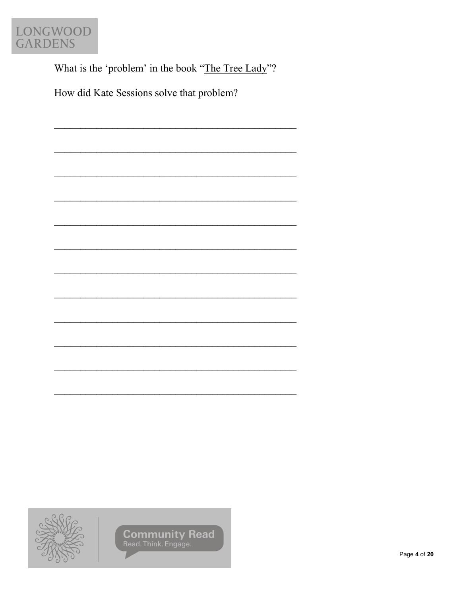

What is the 'problem' in the book "The Tree Lady"?

How did Kate Sessions solve that problem?

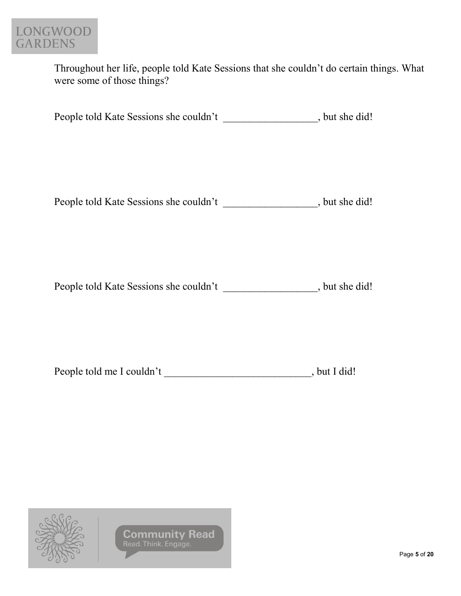

Throughout her life, people told Kate Sessions that she couldn't do certain things. What were some of those things?

People told Kate Sessions she couldn't \_\_\_\_\_\_\_\_\_\_\_\_\_\_\_\_, but she did!

People told Kate Sessions she couldn't \_\_\_\_\_\_\_\_\_\_\_\_\_\_\_, but she did!

People told Kate Sessions she couldn't \_\_\_\_\_\_\_\_\_\_\_\_\_\_\_\_, but she did!

| People told me I couldn't | , but I did! |
|---------------------------|--------------|
|                           |              |

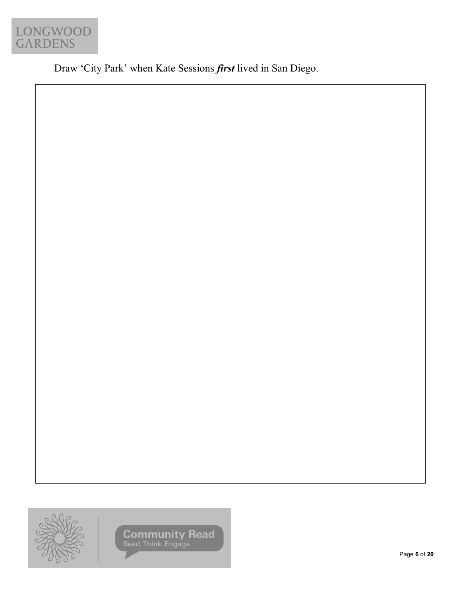

Draw 'City Park' when Kate Sessions *first* lived in San Diego.



**Community Read** Read Read Think. Engage.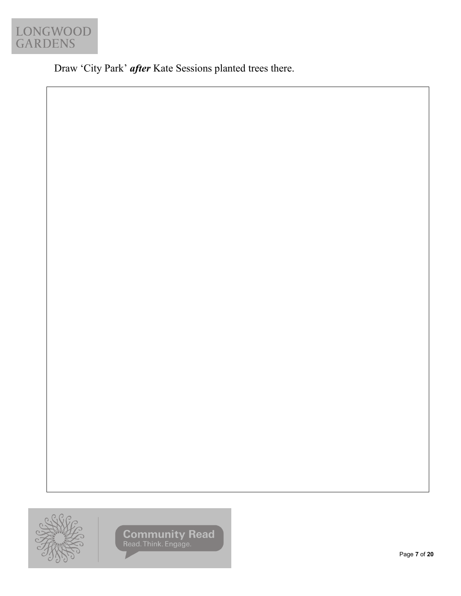

Draw 'City Park' *after* Kate Sessions planted trees there.



**Community Read** Read Read Think. Engage.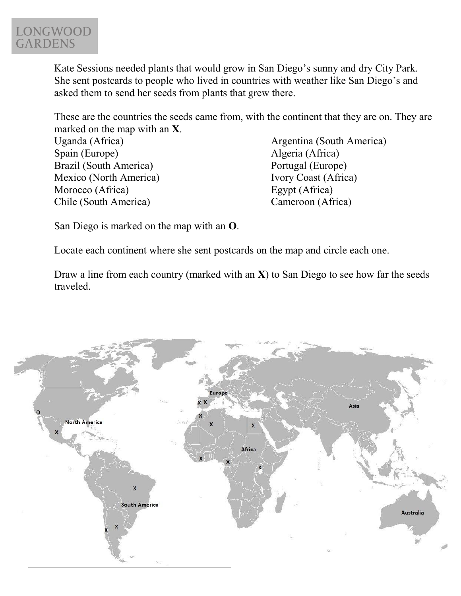

Kate Sessions needed plants that would grow in San Diego's sunny and dry City Park. She sent postcards to people who lived in countries with weather like San Diego's and asked them to send her seeds from plants that grew there.

These are the countries the seeds came from, with the continent that they are on. They are marked on the map with an **X**.

Uganda (Africa) Spain (Europe) Brazil (South America) Mexico (North America) Morocco (Africa) Chile (South America)

Argentina (South America) Algeria (Africa) Portugal (Europe) Ivory Coast (Africa) Egypt (Africa) Cameroon (Africa)

San Diego is marked on the map with an **O**.

Locate each continent where she sent postcards on the map and circle each one.

Draw a line from each country (marked with an **X**) to San Diego to see how far the seeds traveled.

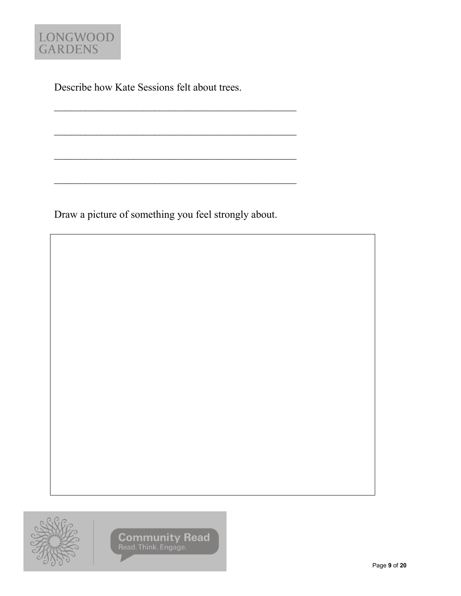

Describe how Kate Sessions felt about trees.

 $\mathcal{L}_\text{max}$  , and the contract of the contract of the contract of the contract of the contract of the contract of the contract of the contract of the contract of the contract of the contract of the contract of the contr

 $\mathcal{L}_\text{max}$  , and the contract of the contract of the contract of the contract of the contract of the contract of the contract of the contract of the contract of the contract of the contract of the contract of the contr

 $\mathcal{L}_\text{max}$  , and the set of the set of the set of the set of the set of the set of the set of the set of the set of the set of the set of the set of the set of the set of the set of the set of the set of the set of the

 $\mathcal{L}_\text{max}$  , and the contract of the contract of the contract of the contract of the contract of the contract of the contract of the contract of the contract of the contract of the contract of the contract of the contr

Draw a picture of something you feel strongly about.

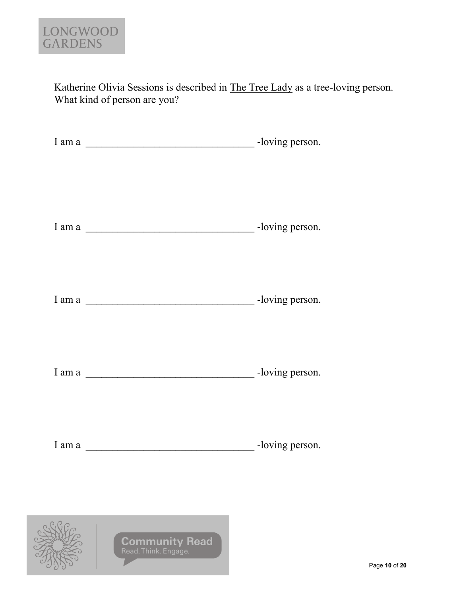

Katherine Olivia Sessions is described in The Tree Lady as a tree-loving person. What kind of person are you?

| I am a $\frac{1}{\sqrt{1-\frac{1}{2}}\sqrt{1-\frac{1}{2}}\sqrt{1-\frac{1}{2}}\sqrt{1-\frac{1}{2}}\sqrt{1-\frac{1}{2}}\sqrt{1-\frac{1}{2}}\sqrt{1-\frac{1}{2}}\sqrt{1-\frac{1}{2}}\sqrt{1-\frac{1}{2}}\sqrt{1-\frac{1}{2}}\sqrt{1-\frac{1}{2}}\sqrt{1-\frac{1}{2}}\sqrt{1-\frac{1}{2}}\sqrt{1-\frac{1}{2}}\sqrt{1-\frac{1}{2}}\sqrt{1-\frac{1}{2}}\sqrt{1-\frac{1}{2}}\sqrt{1-\frac{1}{2}}\sqrt{1-\frac{1}{2$ | -loving person. |
|--------------------------------------------------------------------------------------------------------------------------------------------------------------------------------------------------------------------------------------------------------------------------------------------------------------------------------------------------------------------------------------------------------------|-----------------|
|                                                                                                                                                                                                                                                                                                                                                                                                              |                 |

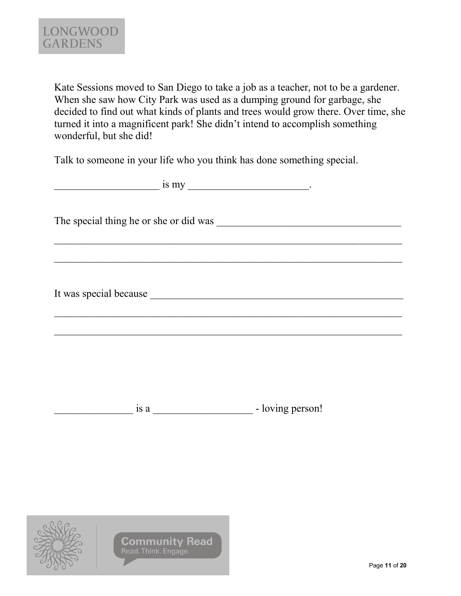Kate Sessions moved to San Diego to take a job as a teacher, not to be a gardener. When she saw how City Park was used as a dumping ground for garbage, she decided to find out what kinds of plants and trees would grow there. Over time, she turned it into a magnificent park! She didn't intend to accomplish something wonderful, but she did!

Talk to someone in your life who you think has done something special.

|  | - loving person! |
|--|------------------|
|  |                  |

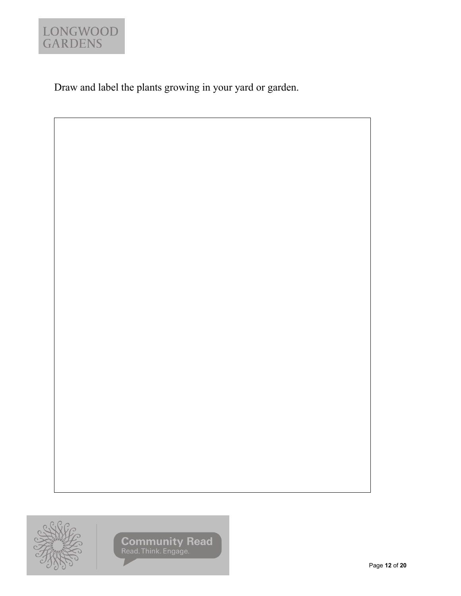

Draw and label the plants growing in your yard or garden.

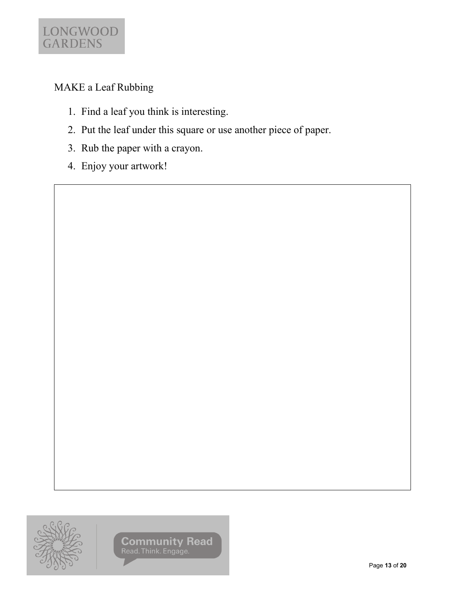

### MAKE a Leaf Rubbing

- 1. Find a leaf you think is interesting.
- 2. Put the leaf under this square or use another piece of paper.
- 3. Rub the paper with a crayon.
- 4. Enjoy your artwork!

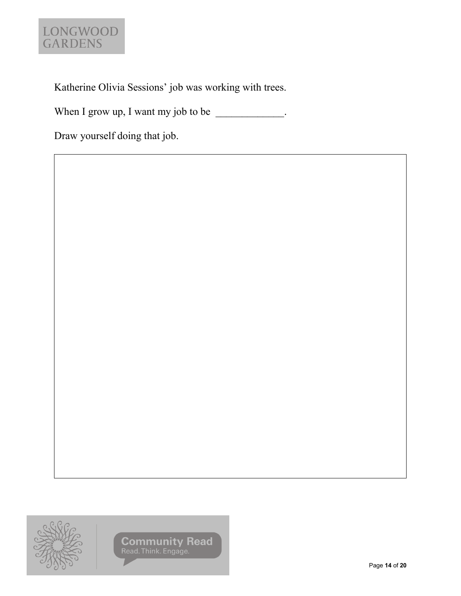# LONGWOOD<br>GARDENS

Katherine Olivia Sessions' job was working with trees.

When I grow up, I want my job to be  $\frac{1}{2}$ .

Draw yourself doing that job.

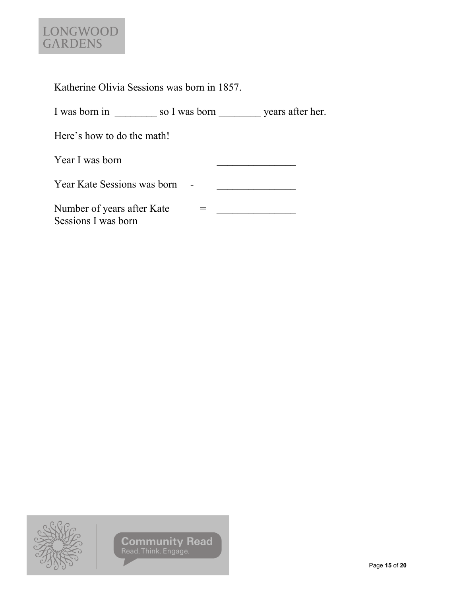# LONGWOOD<br>GARDENS

| Katherine Olivia Sessions was born in 1857. |  |  |  |  |
|---------------------------------------------|--|--|--|--|
|                                             |  |  |  |  |

| I was born in | so I was born | years after her. |
|---------------|---------------|------------------|
|               |               |                  |

Here's how to do the math!

| Year I was born                                   |  |
|---------------------------------------------------|--|
| Year Kate Sessions was born                       |  |
| Number of years after Kate<br>Sessions I was born |  |

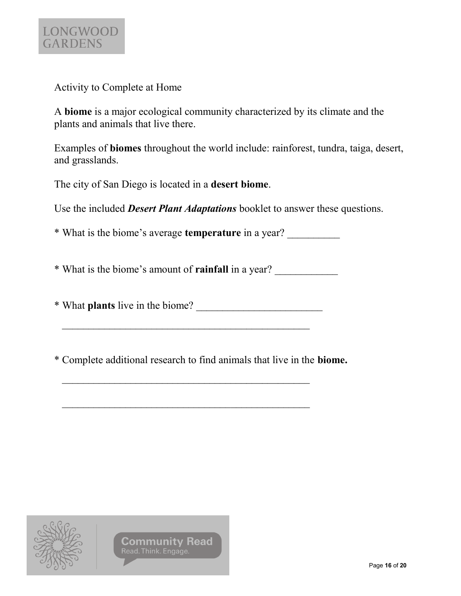

Activity to Complete at Home

A **biome** is a major ecological community characterized by its climate and the plants and animals that live there.

Examples of **biomes** throughout the world include: rainforest, tundra, taiga, desert, and grasslands.

The city of San Diego is located in a **desert biome**.

Use the included *Desert Plant Adaptations* booklet to answer these questions.

\* What is the biome's average **temperature** in a year? \_\_\_\_\_\_\_\_\_\_

\* What is the biome's amount of **rainfall** in a year? \_\_\_\_\_\_\_\_\_\_\_\_

\* What **plants** live in the biome? \_\_\_\_\_\_\_\_\_\_\_\_\_\_\_\_\_\_\_\_\_\_\_\_

\* Complete additional research to find animals that live in the **biome.**

 $\mathcal{L}_\text{max}$  and the contract of the contract of the contract of the contract of the contract of the contract of the contract of the contract of the contract of the contract of the contract of the contract of the contrac

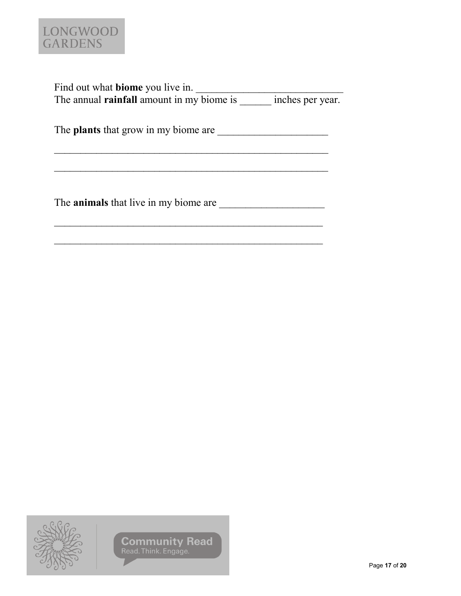

| Find out what <b>biome</b> you live in.          |                  |
|--------------------------------------------------|------------------|
| The annual <b>rainfall</b> amount in my biome is | inches per year. |

The **plants** that grow in my biome are \_\_\_\_\_\_\_\_\_\_\_\_\_\_\_\_\_\_\_\_\_

 $\mathcal{L}_\text{max}$  and the contract of the contract of the contract of the contract of the contract of the contract of the contract of the contract of the contract of the contract of the contract of the contract of the contrac

 $\mathcal{L}_\text{max}$  , and the contract of the contract of the contract of the contract of the contract of the contract of the contract of the contract of the contract of the contract of the contract of the contract of the contr

The **animals** that live in my biome are \_\_\_\_\_\_\_\_\_\_\_\_\_\_\_\_\_\_\_\_

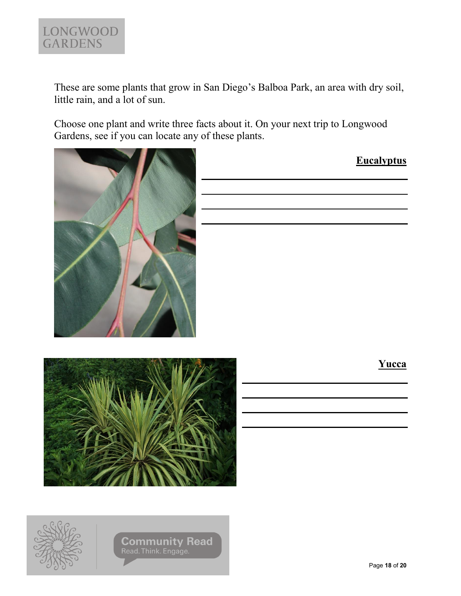

These are some plants that grow in San Diego's Balboa Park, an area with dry soil, little rain, and a lot of sun.

Choose one plant and write three facts about it. On your next trip to Longwood Gardens, see if you can locate any of these plants.



|  |  | <b>Eucalyptus</b> |
|--|--|-------------------|
|  |  |                   |
|  |  |                   |
|  |  |                   |
|  |  |                   |
|  |  |                   |
|  |  |                   |





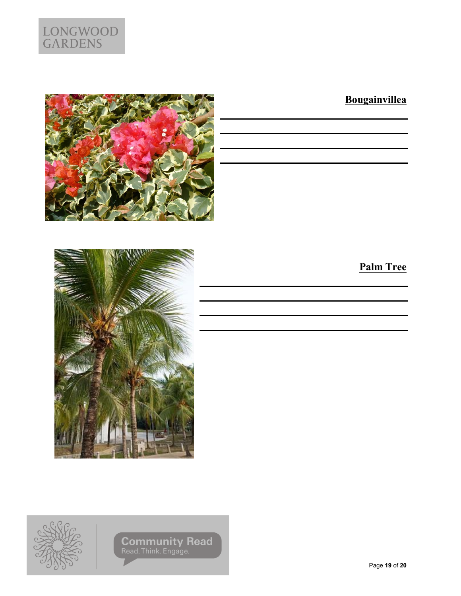

## **Bougainvillea**





# **Palm Tree**